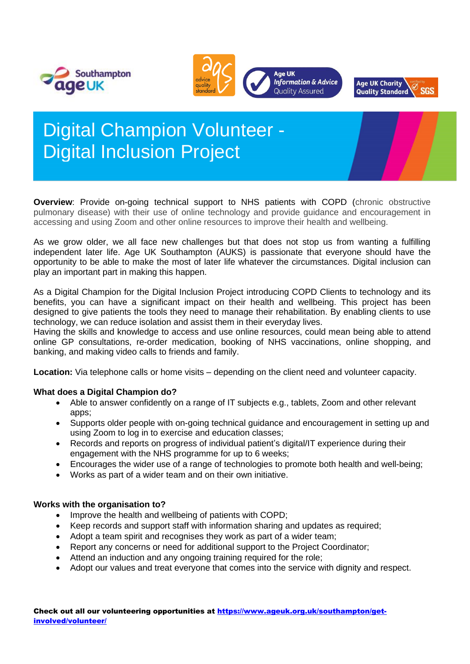





# Digital Champion Volunteer - Digital Inclusion Project

**Overview**: Provide on-going technical support to NHS patients with COPD (chronic obstructive pulmonary disease) with their use of online technology and provide guidance and encouragement in accessing and using Zoom and other online resources to improve their health and wellbeing.

As we grow older, we all face new challenges but that does not stop us from wanting a fulfilling independent later life. Age UK Southampton (AUKS) is passionate that everyone should have the opportunity to be able to make the most of later life whatever the circumstances. Digital inclusion can play an important part in making this happen.

As a Digital Champion for the Digital Inclusion Project introducing COPD Clients to technology and its benefits, you can have a significant impact on their health and wellbeing. This project has been designed to give patients the tools they need to manage their rehabilitation. By enabling clients to use technology, we can reduce isolation and assist them in their everyday lives.

Having the skills and knowledge to access and use online resources, could mean being able to attend online GP consultations, re-order medication, booking of NHS vaccinations, online shopping, and banking, and making video calls to friends and family.

**Location:** Via telephone calls or home visits – depending on the client need and volunteer capacity.

## **What does a Digital Champion do?**

- Able to answer confidently on a range of IT subjects e.g., tablets, Zoom and other relevant apps;
- Supports older people with on-going technical guidance and encouragement in setting up and using Zoom to log in to exercise and education classes;
- Records and reports on progress of individual patient's digital/IT experience during their engagement with the NHS programme for up to 6 weeks;
- Encourages the wider use of a range of technologies to promote both health and well-being:
- Works as part of a wider team and on their own initiative.

#### **Works with the organisation to?**

- Improve the health and wellbeing of patients with COPD;
- Keep records and support staff with information sharing and updates as required;
- Adopt a team spirit and recognises they work as part of a wider team;
- Report any concerns or need for additional support to the Project Coordinator;
- Attend an induction and any ongoing training required for the role;
- Adopt our values and treat everyone that comes into the service with dignity and respect.

Check out all our volunteering opportunities at [https://www.ageuk.org.uk/southampton/get](https://www.ageuk.org.uk/southampton/get-involved/volunteer/)[involved/volunteer/](https://www.ageuk.org.uk/southampton/get-involved/volunteer/)